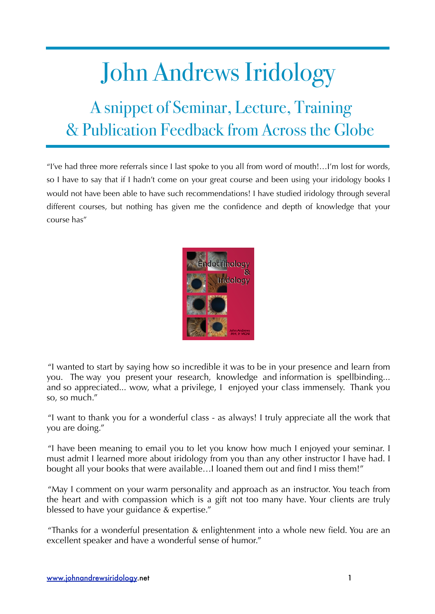## John Andrews Iridology

## A snippet of Seminar, Lecture, Training & Publication Feedback from Across the Globe

"I've had three more referrals since I last spoke to you all from word of mouth!…I'm lost for words, so I have to say that if I hadn't come on your great course and been using your iridology books I would not have been able to have such recommendations! I have studied iridology through several different courses, but nothing has given me the confidence and depth of knowledge that your course has"



"I wanted to start by saying how so incredible it was to be in your presence and learn from you. The way you present your research, knowledge and information is spellbinding... and so appreciated... wow, what a privilege, I enjoyed your class immensely. Thank you so, so much."

"I want to thank you for a wonderful class - as always! I truly appreciate all the work that you are doing."

"I have been meaning to email you to let you know how much I enjoyed your seminar. I must admit I learned more about iridology from you than any other instructor I have had. I bought all your books that were available…I loaned them out and find I miss them!"

"May I comment on your warm personality and approach as an instructor. You teach from the heart and with compassion which is a gift not too many have. Your clients are truly blessed to have your guidance & expertise."

"Thanks for a wonderful presentation & enlightenment into a whole new field. You are an excellent speaker and have a wonderful sense of humor."